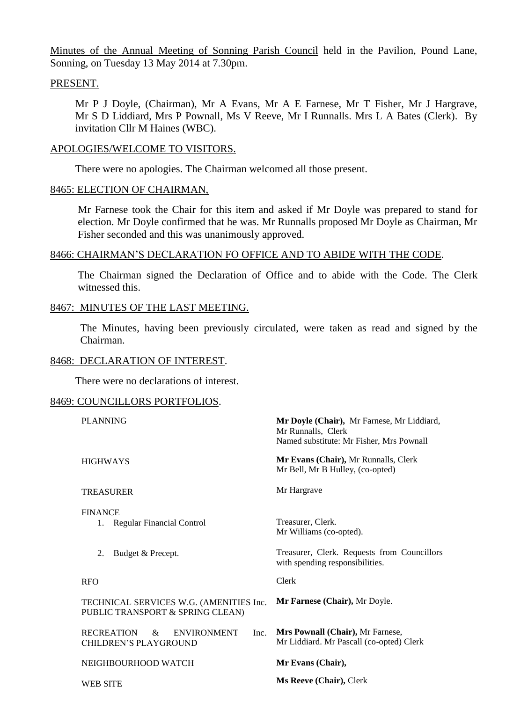Minutes of the Annual Meeting of Sonning Parish Council held in the Pavilion, Pound Lane, Sonning, on Tuesday 13 May 2014 at 7.30pm.

#### PRESENT.

Mr P J Doyle, (Chairman), Mr A Evans, Mr A E Farnese, Mr T Fisher, Mr J Hargrave, Mr S D Liddiard, Mrs P Pownall, Ms V Reeve, Mr I Runnalls. Mrs L A Bates (Clerk). By invitation Cllr M Haines (WBC).

## APOLOGIES/WELCOME TO VISITORS.

There were no apologies. The Chairman welcomed all those present.

## 8465: ELECTION OF CHAIRMAN,

Mr Farnese took the Chair for this item and asked if Mr Doyle was prepared to stand for election. Mr Doyle confirmed that he was. Mr Runnalls proposed Mr Doyle as Chairman, Mr Fisher seconded and this was unanimously approved.

# 8466: CHAIRMAN'S DECLARATION FO OFFICE AND TO ABIDE WITH THE CODE.

The Chairman signed the Declaration of Office and to abide with the Code. The Clerk witnessed this.

## 8467: MINUTES OF THE LAST MEETING.

The Minutes, having been previously circulated, were taken as read and signed by the Chairman.

#### 8468: DECLARATION OF INTEREST.

There were no declarations of interest.

# 8469: COUNCILLORS PORTFOLIOS.

| <b>PLANNING</b>                                                             | Mr Doyle (Chair), Mr Farnese, Mr Liddiard,<br>Mr Runnalls, Clerk<br>Named substitute: Mr Fisher, Mrs Pownall |
|-----------------------------------------------------------------------------|--------------------------------------------------------------------------------------------------------------|
| <b>HIGHWAYS</b>                                                             | Mr Evans (Chair), Mr Runnalls, Clerk<br>Mr Bell, Mr B Hulley, (co-opted)                                     |
| <b>TREASURER</b>                                                            | Mr Hargrave                                                                                                  |
| <b>FINANCE</b><br><b>Regular Financial Control</b><br>1.                    | Treasurer, Clerk.<br>Mr Williams (co-opted).                                                                 |
| Budget & Precept.<br>2.                                                     | Treasurer, Clerk. Requests from Councillors<br>with spending responsibilities.                               |
| <b>RFO</b>                                                                  | Clerk                                                                                                        |
| TECHNICAL SERVICES W.G. (AMENITIES Inc.<br>PUBLIC TRANSPORT & SPRING CLEAN) | Mr Farnese (Chair), Mr Doyle.                                                                                |
| <b>RECREATION</b><br><b>ENVIRONMENT</b><br>&<br>CHILDREN'S PLAYGROUND       | Mrs Pownall (Chair), Mr Farnese,<br>Inc.<br>Mr Liddiard. Mr Pascall (co-opted) Clerk                         |
| NEIGHBOURHOOD WATCH                                                         | Mr Evans (Chair),                                                                                            |
| WEB SITE                                                                    | <b>Ms Reeve (Chair), Clerk</b>                                                                               |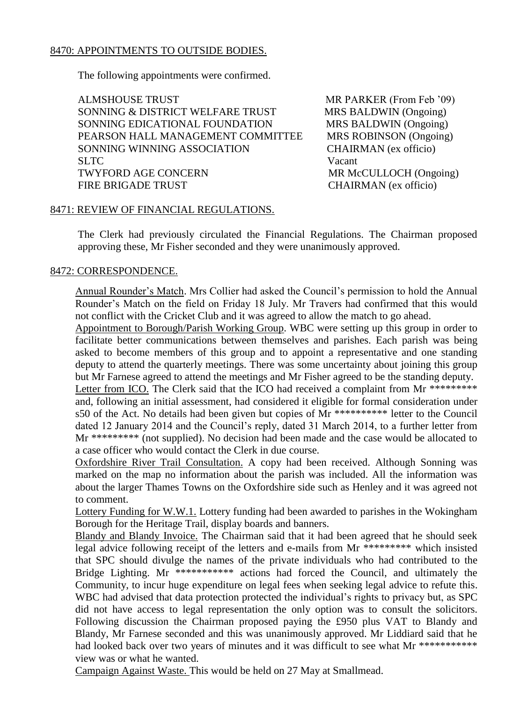# 8470: APPOINTMENTS TO OUTSIDE BODIES.

The following appointments were confirmed.

ALMSHOUSE TRUST MR PARKER (From Feb '09) SONNING & DISTRICT WELFARE TRUST MRS BALDWIN (Ongoing) SONNING EDICATIONAL FOUNDATION MRS BALDWIN (Ongoing) PEARSON HALL MANAGEMENT COMMITTEE MRS ROBINSON (Ongoing) SONNING WINNING ASSOCIATION CHAIRMAN (ex officio) SLTC Vacant TWYFORD AGE CONCERN MR McCULLOCH (Ongoing) FIRE BRIGADE TRUST CHAIRMAN (ex officio)

### 8471: REVIEW OF FINANCIAL REGULATIONS.

The Clerk had previously circulated the Financial Regulations. The Chairman proposed approving these, Mr Fisher seconded and they were unanimously approved.

# 8472: CORRESPONDENCE.

Annual Rounder's Match. Mrs Collier had asked the Council's permission to hold the Annual Rounder's Match on the field on Friday 18 July. Mr Travers had confirmed that this would not conflict with the Cricket Club and it was agreed to allow the match to go ahead.

Appointment to Borough/Parish Working Group. WBC were setting up this group in order to facilitate better communications between themselves and parishes. Each parish was being asked to become members of this group and to appoint a representative and one standing deputy to attend the quarterly meetings. There was some uncertainty about joining this group but Mr Farnese agreed to attend the meetings and Mr Fisher agreed to be the standing deputy.

Letter from ICO. The Clerk said that the ICO had received a complaint from Mr \*\*\*\*\*\*\*\*\* and, following an initial assessment, had considered it eligible for formal consideration under s50 of the Act. No details had been given but copies of Mr \*\*\*\*\*\*\*\*\*\* letter to the Council dated 12 January 2014 and the Council's reply, dated 31 March 2014, to a further letter from Mr \*\*\*\*\*\*\*\*\* (not supplied). No decision had been made and the case would be allocated to a case officer who would contact the Clerk in due course.

Oxfordshire River Trail Consultation. A copy had been received. Although Sonning was marked on the map no information about the parish was included. All the information was about the larger Thames Towns on the Oxfordshire side such as Henley and it was agreed not to comment.

Lottery Funding for W.W.1. Lottery funding had been awarded to parishes in the Wokingham Borough for the Heritage Trail, display boards and banners.

Blandy and Blandy Invoice. The Chairman said that it had been agreed that he should seek legal advice following receipt of the letters and e-mails from Mr \*\*\*\*\*\*\*\*\* which insisted that SPC should divulge the names of the private individuals who had contributed to the Bridge Lighting. Mr \*\*\*\*\*\*\*\*\*\*\*\* actions had forced the Council, and ultimately the Community, to incur huge expenditure on legal fees when seeking legal advice to refute this. WBC had advised that data protection protected the individual's rights to privacy but, as SPC did not have access to legal representation the only option was to consult the solicitors. Following discussion the Chairman proposed paying the £950 plus VAT to Blandy and Blandy, Mr Farnese seconded and this was unanimously approved. Mr Liddiard said that he had looked back over two years of minutes and it was difficult to see what Mr \*\*\*\*\*\*\*\*\*\*\*\* view was or what he wanted.

Campaign Against Waste. This would be held on 27 May at Smallmead.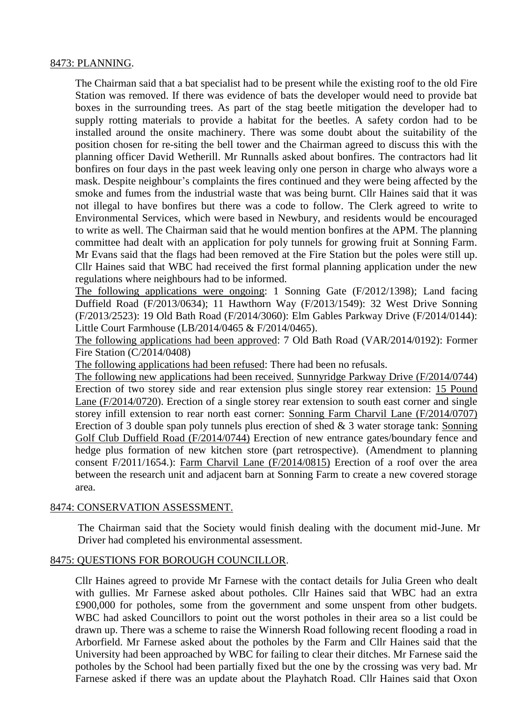## 8473: PLANNING.

The Chairman said that a bat specialist had to be present while the existing roof to the old Fire Station was removed. If there was evidence of bats the developer would need to provide bat boxes in the surrounding trees. As part of the stag beetle mitigation the developer had to supply rotting materials to provide a habitat for the beetles. A safety cordon had to be installed around the onsite machinery. There was some doubt about the suitability of the position chosen for re-siting the bell tower and the Chairman agreed to discuss this with the planning officer David Wetherill. Mr Runnalls asked about bonfires. The contractors had lit bonfires on four days in the past week leaving only one person in charge who always wore a mask. Despite neighbour's complaints the fires continued and they were being affected by the smoke and fumes from the industrial waste that was being burnt. Cllr Haines said that it was not illegal to have bonfires but there was a code to follow. The Clerk agreed to write to Environmental Services, which were based in Newbury, and residents would be encouraged to write as well. The Chairman said that he would mention bonfires at the APM. The planning committee had dealt with an application for poly tunnels for growing fruit at Sonning Farm. Mr Evans said that the flags had been removed at the Fire Station but the poles were still up. Cllr Haines said that WBC had received the first formal planning application under the new regulations where neighbours had to be informed.

The following applications were ongoing: 1 Sonning Gate (F/2012/1398); Land facing Duffield Road (F/2013/0634); 11 Hawthorn Way (F/2013/1549): 32 West Drive Sonning (F/2013/2523): 19 Old Bath Road (F/2014/3060): Elm Gables Parkway Drive (F/2014/0144): Little Court Farmhouse (LB/2014/0465 & F/2014/0465).

The following applications had been approved: 7 Old Bath Road (VAR/2014/0192): Former Fire Station (C/2014/0408)

The following applications had been refused: There had been no refusals.

The following new applications had been received. Sunnyridge Parkway Drive (F/2014/0744) Erection of two storey side and rear extension plus single storey rear extension: 15 Pound Lane (F/2014/0720). Erection of a single storey rear extension to south east corner and single storey infill extension to rear north east corner: Sonning Farm Charvil Lane (F/2014/0707) Erection of 3 double span poly tunnels plus erection of shed  $\&$  3 water storage tank: Sonning Golf Club Duffield Road (F/2014/0744) Erection of new entrance gates/boundary fence and hedge plus formation of new kitchen store (part retrospective). (Amendment to planning consent F/2011/1654.): Farm Charvil Lane (F/2014/0815) Erection of a roof over the area between the research unit and adjacent barn at Sonning Farm to create a new covered storage area.

#### 8474: CONSERVATION ASSESSMENT.

The Chairman said that the Society would finish dealing with the document mid-June. Mr Driver had completed his environmental assessment.

# 8475: QUESTIONS FOR BOROUGH COUNCILLOR.

Cllr Haines agreed to provide Mr Farnese with the contact details for Julia Green who dealt with gullies. Mr Farnese asked about potholes. Cllr Haines said that WBC had an extra £900,000 for potholes, some from the government and some unspent from other budgets. WBC had asked Councillors to point out the worst potholes in their area so a list could be drawn up. There was a scheme to raise the Winnersh Road following recent flooding a road in Arborfield. Mr Farnese asked about the potholes by the Farm and Cllr Haines said that the University had been approached by WBC for failing to clear their ditches. Mr Farnese said the potholes by the School had been partially fixed but the one by the crossing was very bad. Mr Farnese asked if there was an update about the Playhatch Road. Cllr Haines said that Oxon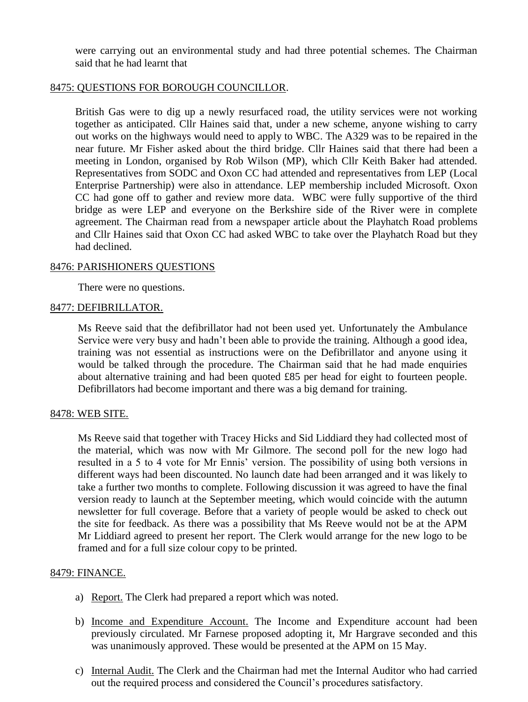were carrying out an environmental study and had three potential schemes. The Chairman said that he had learnt that

## 8475: QUESTIONS FOR BOROUGH COUNCILLOR.

British Gas were to dig up a newly resurfaced road, the utility services were not working together as anticipated. Cllr Haines said that, under a new scheme, anyone wishing to carry out works on the highways would need to apply to WBC. The A329 was to be repaired in the near future. Mr Fisher asked about the third bridge. Cllr Haines said that there had been a meeting in London, organised by Rob Wilson (MP), which Cllr Keith Baker had attended. Representatives from SODC and Oxon CC had attended and representatives from LEP (Local Enterprise Partnership) were also in attendance. LEP membership included Microsoft. Oxon CC had gone off to gather and review more data. WBC were fully supportive of the third bridge as were LEP and everyone on the Berkshire side of the River were in complete agreement. The Chairman read from a newspaper article about the Playhatch Road problems and Cllr Haines said that Oxon CC had asked WBC to take over the Playhatch Road but they had declined.

#### 8476: PARISHIONERS QUESTIONS

There were no questions.

## 8477: DEFIBRILLATOR.

Ms Reeve said that the defibrillator had not been used yet. Unfortunately the Ambulance Service were very busy and hadn't been able to provide the training. Although a good idea, training was not essential as instructions were on the Defibrillator and anyone using it would be talked through the procedure. The Chairman said that he had made enquiries about alternative training and had been quoted £85 per head for eight to fourteen people. Defibrillators had become important and there was a big demand for training.

# 8478: WEB SITE.

Ms Reeve said that together with Tracey Hicks and Sid Liddiard they had collected most of the material, which was now with Mr Gilmore. The second poll for the new logo had resulted in a 5 to 4 vote for Mr Ennis' version. The possibility of using both versions in different ways had been discounted. No launch date had been arranged and it was likely to take a further two months to complete. Following discussion it was agreed to have the final version ready to launch at the September meeting, which would coincide with the autumn newsletter for full coverage. Before that a variety of people would be asked to check out the site for feedback. As there was a possibility that Ms Reeve would not be at the APM Mr Liddiard agreed to present her report. The Clerk would arrange for the new logo to be framed and for a full size colour copy to be printed.

# 8479: FINANCE.

- a) Report. The Clerk had prepared a report which was noted.
- b) Income and Expenditure Account. The Income and Expenditure account had been previously circulated. Mr Farnese proposed adopting it, Mr Hargrave seconded and this was unanimously approved. These would be presented at the APM on 15 May.
- c) Internal Audit. The Clerk and the Chairman had met the Internal Auditor who had carried out the required process and considered the Council's procedures satisfactory.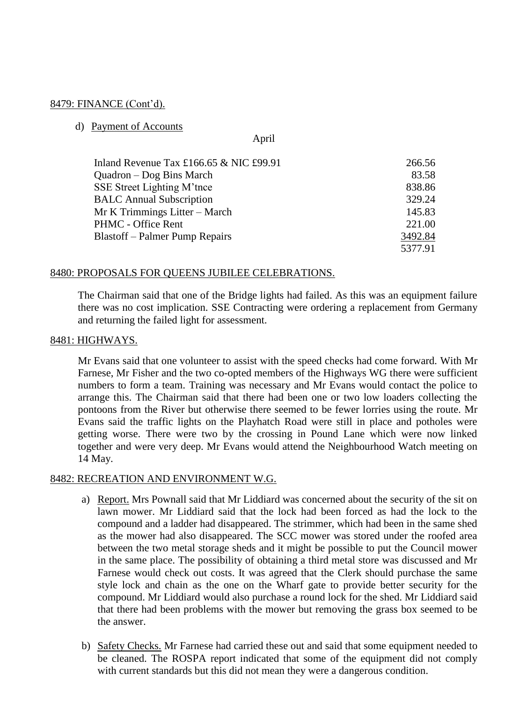## 8479: FINANCE (Cont'd).

#### d) Payment of Accounts

April

| Inland Revenue Tax $£166.65 \& NIC £99.91$ | 266.56  |
|--------------------------------------------|---------|
| Quadron – Dog Bins March                   | 83.58   |
| SSE Street Lighting M'tnce                 | 838.86  |
| <b>BALC</b> Annual Subscription            | 329.24  |
| Mr K Trimmings Litter - March              | 145.83  |
| PHMC - Office Rent                         | 221.00  |
| <b>Blastoff</b> – Palmer Pump Repairs      | 3492.84 |
|                                            | 5377.91 |

## 8480: PROPOSALS FOR QUEENS JUBILEE CELEBRATIONS.

The Chairman said that one of the Bridge lights had failed. As this was an equipment failure there was no cost implication. SSE Contracting were ordering a replacement from Germany and returning the failed light for assessment.

#### 8481: HIGHWAYS.

Mr Evans said that one volunteer to assist with the speed checks had come forward. With Mr Farnese, Mr Fisher and the two co-opted members of the Highways WG there were sufficient numbers to form a team. Training was necessary and Mr Evans would contact the police to arrange this. The Chairman said that there had been one or two low loaders collecting the pontoons from the River but otherwise there seemed to be fewer lorries using the route. Mr Evans said the traffic lights on the Playhatch Road were still in place and potholes were getting worse. There were two by the crossing in Pound Lane which were now linked together and were very deep. Mr Evans would attend the Neighbourhood Watch meeting on 14 May.

#### 8482: RECREATION AND ENVIRONMENT W.G.

- a) Report. Mrs Pownall said that Mr Liddiard was concerned about the security of the sit on lawn mower. Mr Liddiard said that the lock had been forced as had the lock to the compound and a ladder had disappeared. The strimmer, which had been in the same shed as the mower had also disappeared. The SCC mower was stored under the roofed area between the two metal storage sheds and it might be possible to put the Council mower in the same place. The possibility of obtaining a third metal store was discussed and Mr Farnese would check out costs. It was agreed that the Clerk should purchase the same style lock and chain as the one on the Wharf gate to provide better security for the compound. Mr Liddiard would also purchase a round lock for the shed. Mr Liddiard said that there had been problems with the mower but removing the grass box seemed to be the answer.
- b) Safety Checks. Mr Farnese had carried these out and said that some equipment needed to be cleaned. The ROSPA report indicated that some of the equipment did not comply with current standards but this did not mean they were a dangerous condition.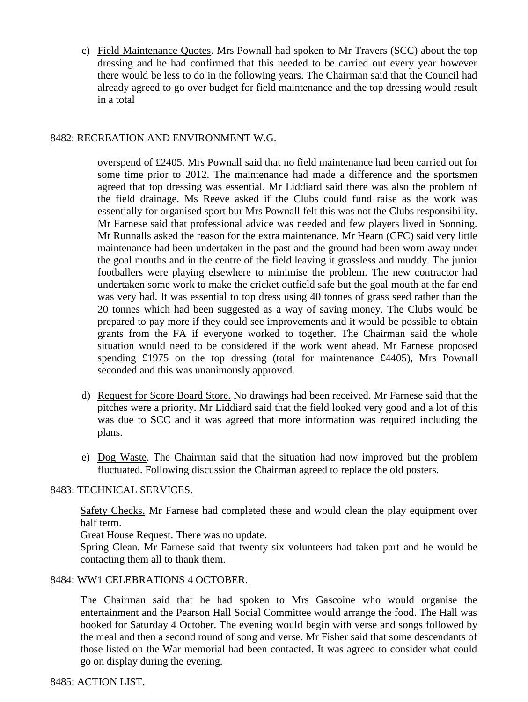c) Field Maintenance Quotes. Mrs Pownall had spoken to Mr Travers (SCC) about the top dressing and he had confirmed that this needed to be carried out every year however there would be less to do in the following years. The Chairman said that the Council had already agreed to go over budget for field maintenance and the top dressing would result in a total

# 8482: RECREATION AND ENVIRONMENT W.G.

overspend of £2405. Mrs Pownall said that no field maintenance had been carried out for some time prior to 2012. The maintenance had made a difference and the sportsmen agreed that top dressing was essential. Mr Liddiard said there was also the problem of the field drainage. Ms Reeve asked if the Clubs could fund raise as the work was essentially for organised sport bur Mrs Pownall felt this was not the Clubs responsibility. Mr Farnese said that professional advice was needed and few players lived in Sonning. Mr Runnalls asked the reason for the extra maintenance. Mr Hearn (CFC) said very little maintenance had been undertaken in the past and the ground had been worn away under the goal mouths and in the centre of the field leaving it grassless and muddy. The junior footballers were playing elsewhere to minimise the problem. The new contractor had undertaken some work to make the cricket outfield safe but the goal mouth at the far end was very bad. It was essential to top dress using 40 tonnes of grass seed rather than the 20 tonnes which had been suggested as a way of saving money. The Clubs would be prepared to pay more if they could see improvements and it would be possible to obtain grants from the FA if everyone worked to together. The Chairman said the whole situation would need to be considered if the work went ahead. Mr Farnese proposed spending £1975 on the top dressing (total for maintenance £4405), Mrs Pownall seconded and this was unanimously approved.

- d) Request for Score Board Store. No drawings had been received. Mr Farnese said that the pitches were a priority. Mr Liddiard said that the field looked very good and a lot of this was due to SCC and it was agreed that more information was required including the plans.
- e) Dog Waste. The Chairman said that the situation had now improved but the problem fluctuated. Following discussion the Chairman agreed to replace the old posters.

# 8483: TECHNICAL SERVICES.

Safety Checks. Mr Farnese had completed these and would clean the play equipment over half term.

Great House Request. There was no update.

Spring Clean. Mr Farnese said that twenty six volunteers had taken part and he would be contacting them all to thank them.

#### 8484: WW1 CELEBRATIONS 4 OCTOBER.

The Chairman said that he had spoken to Mrs Gascoine who would organise the entertainment and the Pearson Hall Social Committee would arrange the food. The Hall was booked for Saturday 4 October. The evening would begin with verse and songs followed by the meal and then a second round of song and verse. Mr Fisher said that some descendants of those listed on the War memorial had been contacted. It was agreed to consider what could go on display during the evening.

# 8485: ACTION LIST.